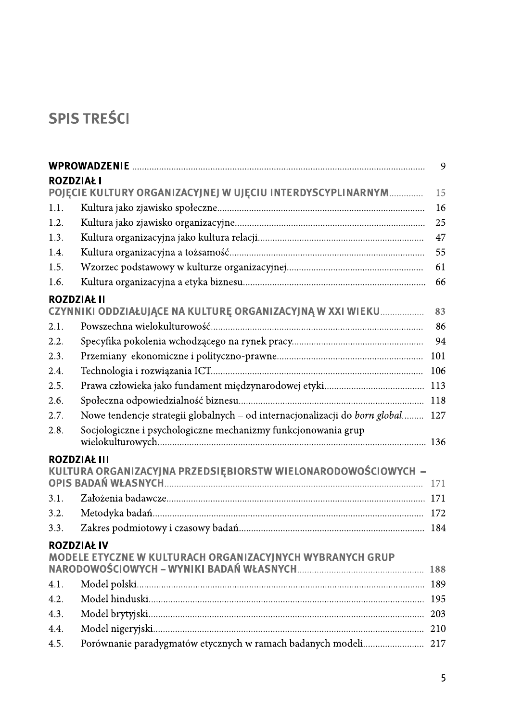## **SPIS TREŚCI**

|                    |                                                                                      | 9   |
|--------------------|--------------------------------------------------------------------------------------|-----|
| <b>ROZDZIAŁ I</b>  |                                                                                      |     |
|                    | POJĘCIE KULTURY ORGANIZACYJNEJ W UJĘCIU INTERDYSCYPLINARNYM                          | 15  |
| 1.1.               |                                                                                      | 16  |
| 1.2.               |                                                                                      | 25  |
| 1.3.               |                                                                                      | 47  |
| 1.4.               |                                                                                      | 55  |
| 1.5.               |                                                                                      | 61  |
| 1.6.               |                                                                                      | 66  |
| <b>ROZDZIAŁ II</b> |                                                                                      |     |
|                    | CZYNNIKI ODDZIAŁUJĄCE NA KULTURĘ ORGANIZACYJNĄ W XXI WIEKU                           | 83  |
| 2.1.               |                                                                                      | 86  |
| 2.2.               |                                                                                      | 94  |
| 2.3.               |                                                                                      | 101 |
| 2.4.               |                                                                                      | 106 |
| 2.5.               |                                                                                      | 113 |
| 2.6.               |                                                                                      | 118 |
| 2.7.               | Nowe tendencje strategii globalnych - od internacjonalizacji do born global          | 127 |
| 2.8.               | Socjologiczne i psychologiczne mechanizmy funkcjonowania grup                        |     |
|                    | <b>ROZDZIAŁ III</b><br>KULTURA ORGANIZACYJNA PRZEDSIĘBIORSTW WIELONARODOWOŚCIOWYCH - | 171 |
| 3.1.               |                                                                                      |     |
| 3.2.               |                                                                                      | 172 |
| 3.3.               |                                                                                      | 184 |
|                    | <b>ROZDZIAŁ IV</b><br>MODELE ETYCZNE W KULTURACH ORGANIZACYJNYCH WYBRANYCH GRUP      |     |
|                    |                                                                                      |     |
| 4.1.               |                                                                                      | 189 |
| 4.2.               |                                                                                      | 195 |
| 4.3.               |                                                                                      | 203 |
| 4.4.               |                                                                                      | 210 |
| 4.5.               | Porównanie paradygmatów etycznych w ramach badanych modeli 217                       |     |